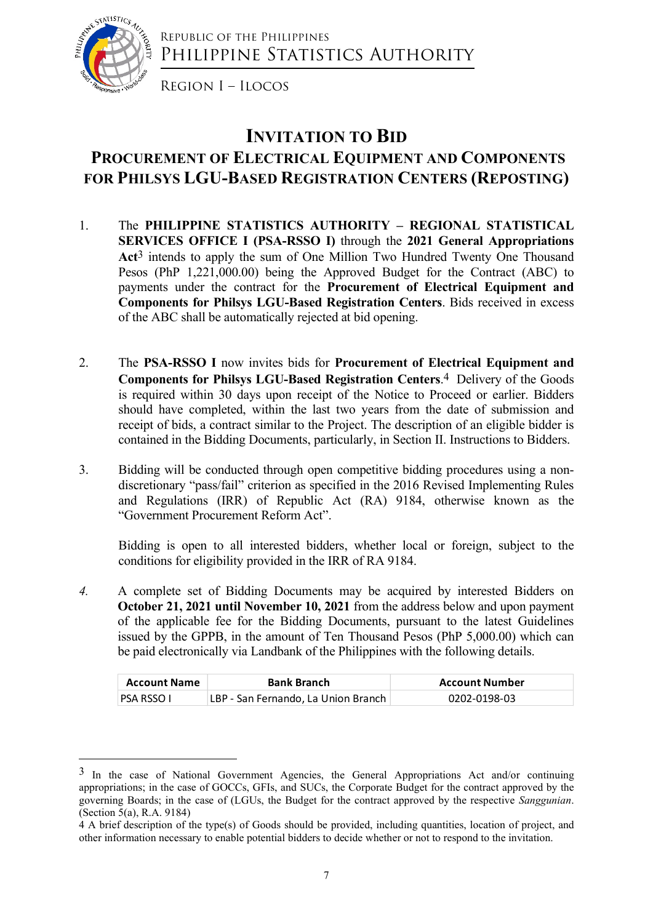

Republic of the Philippines PHILIPPINE STATISTICS AUTHORITY

Region I – Ilocos

## INVITATION TO BID PROCUREMENT OF ELECTRICAL EQUIPMENT AND COMPONENTS FOR PHILSYS LGU-BASED REGISTRATION CENTERS (REPOSTING)

- 1. The PHILIPPINE STATISTICS AUTHORITY REGIONAL STATISTICAL SERVICES OFFICE I (PSA-RSSO I) through the 2021 General Appropriations Act3 intends to apply the sum of One Million Two Hundred Twenty One Thousand Pesos (PhP 1,221,000.00) being the Approved Budget for the Contract (ABC) to payments under the contract for the Procurement of Electrical Equipment and Components for Philsys LGU-Based Registration Centers. Bids received in excess of the ABC shall be automatically rejected at bid opening.
- 2. The PSA-RSSO I now invites bids for Procurement of Electrical Equipment and Components for Philsys LGU-Based Registration Centers.4 Delivery of the Goods is required within 30 days upon receipt of the Notice to Proceed or earlier. Bidders should have completed, within the last two years from the date of submission and receipt of bids, a contract similar to the Project. The description of an eligible bidder is contained in the Bidding Documents, particularly, in Section II. Instructions to Bidders.
- 3. Bidding will be conducted through open competitive bidding procedures using a nondiscretionary "pass/fail" criterion as specified in the 2016 Revised Implementing Rules and Regulations (IRR) of Republic Act (RA) 9184, otherwise known as the "Government Procurement Reform Act".

Bidding is open to all interested bidders, whether local or foreign, subject to the conditions for eligibility provided in the IRR of RA 9184.

4. A complete set of Bidding Documents may be acquired by interested Bidders on October 21, 2021 until November 10, 2021 from the address below and upon payment of the applicable fee for the Bidding Documents, pursuant to the latest Guidelines issued by the GPPB, in the amount of Ten Thousand Pesos (PhP 5,000.00) which can be paid electronically via Landbank of the Philippines with the following details. ould have completed, within the last two years from the date of submission and<br>eccipt of bids, a contract similar to the Project. The description of an eligible bidder is<br>ontained in the Bidding Documents, particularly, in recorpt of buds, a contract simular to the Project. The description of an eligible bioder is<br>contained in the Bidding Documents, particularly, in Section II. Instructions to Bidders.<br>Bidding will be conducted through open

| <b>Account Name</b> | <b>Bank Branch</b>                  | Account Number |
|---------------------|-------------------------------------|----------------|
| I PSA RSSO I        | LBP - San Fernando, La Union Branch | 0202-0198-03   |

<sup>&</sup>lt;sup>3</sup> In the case of National Government Agencies, the General Appropriations Act and/or continuing appropriations; in the case of GOCCs, GFIs, and SUCs, the Corporate Budget for the contract approved by the governing Boards; in the case of (LGUs, the Budget for the contract approved by the respective Sanggunian. (Section 5(a), R.A. 9184)

<sup>4</sup> A brief description of the type(s) of Goods should be provided, including quantities, location of project, and other information necessary to enable potential bidders to decide whether or not to respond to the invitation.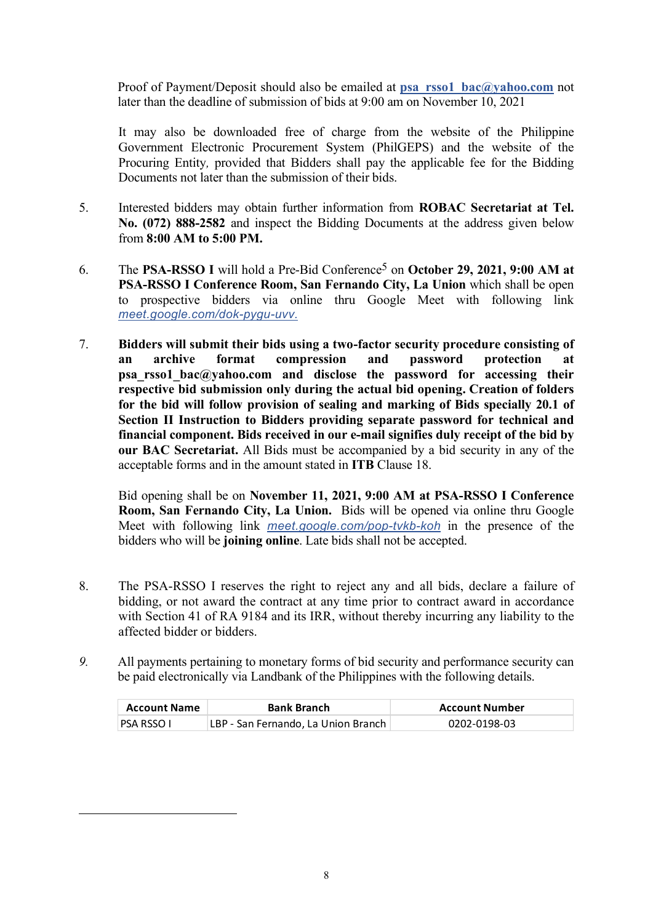Proof of Payment/Deposit should also be emailed at psa\_rsso1\_bac@yahoo.com not later than the deadline of submission of bids at 9:00 am on November 10, 2021

It may also be downloaded free of charge from the website of the Philippine Government Electronic Procurement System (PhilGEPS) and the website of the Procuring Entity, provided that Bidders shall pay the applicable fee for the Bidding Documents not later than the submission of their bids.

- 5. Interested bidders may obtain further information from ROBAC Secretariat at Tel. No. (072) 888-2582 and inspect the Bidding Documents at the address given below from 8:00 AM to 5:00 PM.
- 6. The PSA-RSSO I will hold a Pre-Bid Conference5 on October 29, 2021, 9:00 AM at PSA-RSSO I Conference Room, San Fernando City, La Union which shall be open to prospective bidders via online thru Google Meet with following link meet.google.com/dok-pygu-uvv.
- 7. Bidders will submit their bids using a two-factor security procedure consisting of an archive format compression and password protection at psa rsso1 bac@yahoo.com and disclose the password for accessing their respective bid submission only during the actual bid opening. Creation of folders for the bid will follow provision of sealing and marking of Bids specially 20.1 of Section II Instruction to Bidders providing separate password for technical and financial component. Bids received in our e-mail signifies duly receipt of the bid by our BAC Secretariat. All Bids must be accompanied by a bid security in any of the acceptable forms and in the amount stated in ITB Clause 18.

Bid opening shall be on November 11, 2021, 9:00 AM at PSA-RSSO I Conference Room, San Fernando City, La Union. Bids will be opened via online thru Google Meet with following link meet.google.com/pop-tvkb-koh in the presence of the bidders who will be joining online. Late bids shall not be accepted.

- 8. The PSA-RSSO I reserves the right to reject any and all bids, declare a failure of bidding, or not award the contract at any time prior to contract award in accordance with Section 41 of RA 9184 and its IRR, without thereby incurring any liability to the affected bidder or bidders. **nancial component. Bids received in our e-mail signifies duly receipt of the bid by<br>
ur BAC Secretariat. All Bids must be accompanied by a bid security in any of the<br>
cceptable forms and in the amount stated in ITB Claus Exercisant.** All Bids must be accompaned by a bid security in any of the accordance of the amount stated in ITB Clause 18.<br>Bid opening shall be on November 11, 2021, 9:00 AM at PSA-RSSO I Conference Room, San Fernando Cit
- 9. All payments pertaining to monetary forms of bid security and performance security can be paid electronically via Landbank of the Philippines with the following details.

| <b>Account Name</b> | <b>Bank Branch</b>                  | <b>Account Number</b> |
|---------------------|-------------------------------------|-----------------------|
| PSA RSSO I          | LBP - San Fernando, La Union Branch | 0202-0198-03          |